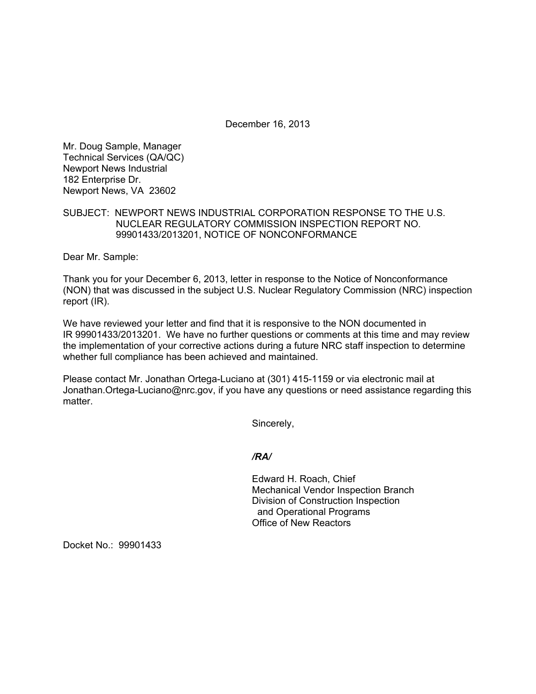December 16, 2013

Mr. Doug Sample, Manager Technical Services (QA/QC) Newport News Industrial 182 Enterprise Dr. Newport News, VA 23602

SUBJECT: NEWPORT NEWS INDUSTRIAL CORPORATION RESPONSE TO THE U.S. NUCLEAR REGULATORY COMMISSION INSPECTION REPORT NO. 99901433/2013201, NOTICE OF NONCONFORMANCE

Dear Mr. Sample:

Thank you for your December 6, 2013, letter in response to the Notice of Nonconformance (NON) that was discussed in the subject U.S. Nuclear Regulatory Commission (NRC) inspection report (IR).

We have reviewed your letter and find that it is responsive to the NON documented in IR 99901433/2013201. We have no further questions or comments at this time and may review the implementation of your corrective actions during a future NRC staff inspection to determine whether full compliance has been achieved and maintained.

Please contact Mr. Jonathan Ortega-Luciano at (301) 415-1159 or via electronic mail at Jonathan.Ortega-Luciano@nrc.gov, if you have any questions or need assistance regarding this matter.

Sincerely,

#### */RA/*

Edward H. Roach, Chief Mechanical Vendor Inspection Branch Division of Construction Inspection and Operational Programs Office of New Reactors

Docket No.: 99901433